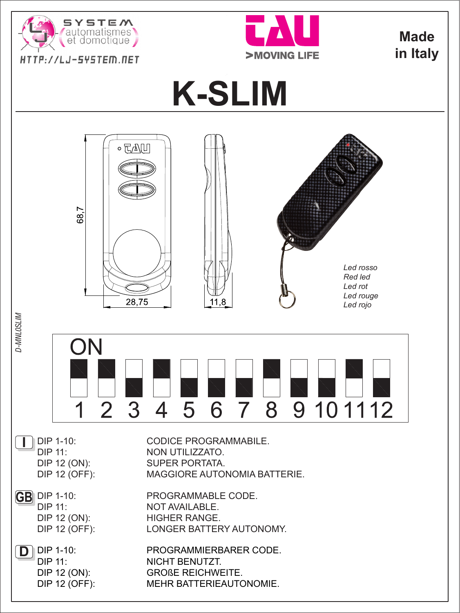